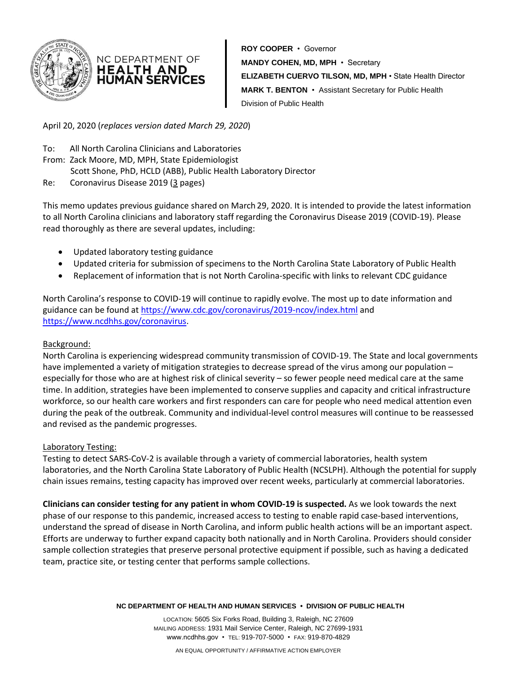

**ROY COOPER** • Governor **MANDY COHEN, MD, MPH** • Secretary **ELIZABETH CUERVO TILSON, MD, MPH** • State Health Director **MARK T. BENTON** • Assistant Secretary for Public Health Division of Public Health

April 20, 2020 (*replaces version dated March 29, 2020*)

NC DEPARTMENT OF **HEALTH AND** HUMAN SERVICES

- To: All North Carolina Clinicians and Laboratories From: Zack Moore, MD, MPH, State Epidemiologist Scott Shone, PhD, HCLD (ABB), Public Health Laboratory Director
- Re: Coronavirus Disease 2019 (3 pages)

This memo updates previous guidance shared on March 29, 2020. It is intended to provide the latest information to all North Carolina clinicians and laboratory staff regarding the Coronavirus Disease 2019 (COVID-19). Please read thoroughly as there are several updates, including:

- Updated laboratory testing guidance
- Updated criteria for submission of specimens to the North Carolina State Laboratory of Public Health
- Replacement of information that is not North Carolina-specific with links to relevant CDC guidance

North Carolina's response to COVID-19 will continue to rapidly evolve. The most up to date information and guidance can be found a[t https://www.cdc.gov/coronavirus/2019-ncov/index.html](https://www.cdc.gov/coronavirus/2019-ncov/index.html) and [https://www.ncdhhs.gov/coronavirus.](https://www.ncdhhs.gov/coronavirus)

# Background:

North Carolina is experiencing widespread community transmission of COVID-19. The State and local governments have implemented a variety of mitigation strategies to decrease spread of the virus among our population – especially for those who are at highest risk of clinical severity – so fewer people need medical care at the same time. In addition, strategies have been implemented to conserve supplies and capacity and critical infrastructure workforce, so our health care workers and first responders can care for people who need medical attention even during the peak of the outbreak. Community and individual-level control measures will continue to be reassessed and revised as the pandemic progresses.

## Laboratory Testing:

Testing to detect SARS-CoV-2 is available through a variety of commercial laboratories, health system laboratories, and the North Carolina State Laboratory of Public Health (NCSLPH). Although the potential for supply chain issues remains, testing capacity has improved over recent weeks, particularly at commercial laboratories.

**Clinicians can consider testing for any patient in whom COVID-19 is suspected.** As we look towards the next phase of our response to this pandemic, increased access to testing to enable rapid case-based interventions, understand the spread of disease in North Carolina, and inform public health actions will be an important aspect. Efforts are underway to further expand capacity both nationally and in North Carolina. Providers should consider sample collection strategies that preserve personal protective equipment if possible, such as having a dedicated team, practice site, or testing center that performs sample collections.

**NC DEPARTMENT OF HEALTH AND HUMAN SERVICES • DIVISION OF PUBLIC HEALTH**

LOCATION: 5605 Six Forks Road, Building 3, Raleigh, NC 27609 MAILING ADDRESS: 1931 Mail Service Center, Raleigh, NC 27699-1931 www.ncdhhs.gov • TEL: 919-707-5000 • FAX: 919-870-4829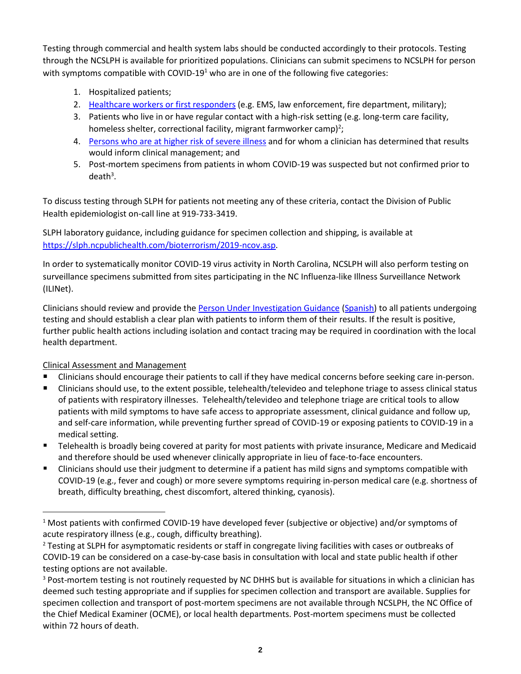Testing through commercial and health system labs should be conducted accordingly to their protocols. Testing through the NCSLPH is available for prioritized populations. Clinicians can submit specimens to NCSLPH for person with symptoms compatible with COVID-19<sup>1</sup> who are in one of the following five categories:

- 1. Hospitalized patients;
- 2. [Healthcare workers or first responders](https://slph.ncpublichealth.com/doc/FirstResponder-COVID-19-Handout-04062020.pdf) (e.g. EMS, law enforcement, fire department, military);
- 3. Patients who live in or have regular contact with a high-risk setting (e.g. long-term care facility, homeless shelter, correctional facility, migrant farmworker camp)<sup>2</sup>;
- 4. [Persons who are at higher risk of severe illness](https://www.cdc.gov/coronavirus/2019-ncov/need-extra-precautions/people-at-higher-risk.html) and for whom a clinician has determined that results would inform clinical management; and
- 5. Post-mortem specimens from patients in whom COVID-19 was suspected but not confirmed prior to  $death<sup>3</sup>$ .

To discuss testing through SLPH for patients not meeting any of these criteria, contact the Division of Public Health epidemiologist on-call line at 919-733-3419.

SLPH laboratory guidance, including guidance for specimen collection and shipping, is available at [https://slph.ncpublichealth.com/bioterrorism/2019-ncov.asp.](https://slph.ncpublichealth.com/bioterrorism/2019-ncov.asp)

In order to systematically monitor COVID-19 virus activity in North Carolina, NCSLPH will also perform testing on surveillance specimens submitted from sites participating in the NC Influenza-like Illness Surveillance Network (ILINet).

Clinicians should review and provide the [Person Under Investigation Guidance](https://files.nc.gov/ncdhhs/documents/files/covid-19/PUI-IsolationGuidance-031720--002-.pdf) [\(Spanish\)](https://files.nc.gov/ncdhhs/documents/files/covid-19/PUI_IsolationGuidance_031720_Spanish.pdf) to all patients undergoing testing and should establish a clear plan with patients to inform them of their results. If the result is positive, further public health actions including isolation and contact tracing may be required in coordination with the local health department.

Clinical Assessment and Management

- Clinicians should encourage their patients to call if they have medical concerns before seeking care in-person.
- Clinicians should use, to the extent possible, telehealth/televideo and telephone triage to assess clinical status of patients with respiratory illnesses. Telehealth/televideo and telephone triage are critical tools to allow patients with mild symptoms to have safe access to appropriate assessment, clinical guidance and follow up, and self-care information, while preventing further spread of COVID-19 or exposing patients to COVID-19 in a medical setting.
- Telehealth is broadly being covered at parity for most patients with private insurance, Medicare and Medicaid and therefore should be used whenever clinically appropriate in lieu of face-to-face encounters.
- Clinicians should use their judgment to determine if a patient has mild signs and symptoms compatible with COVID-19 (e.g., fever and cough) or more severe symptoms requiring in-person medical care (e.g. shortness of breath, difficulty breathing, chest discomfort, altered thinking, cyanosis).

<sup>1</sup> Most patients with confirmed COVID-19 have developed fever (subjective or objective) and/or symptoms of acute respiratory illness (e.g., cough, difficulty breathing).

<sup>&</sup>lt;sup>2</sup> Testing at SLPH for asymptomatic residents or staff in congregate living facilities with cases or outbreaks of COVID-19 can be considered on a case-by-case basis in consultation with local and state public health if other testing options are not available.

<sup>&</sup>lt;sup>3</sup> Post-mortem testing is not routinely requested by NC DHHS but is available for situations in which a clinician has deemed such testing appropriate and if supplies for specimen collection and transport are available. Supplies for specimen collection and transport of post-mortem specimens are not available through NCSLPH, the NC Office of the Chief Medical Examiner (OCME), or local health departments. Post-mortem specimens must be collected within 72 hours of death.